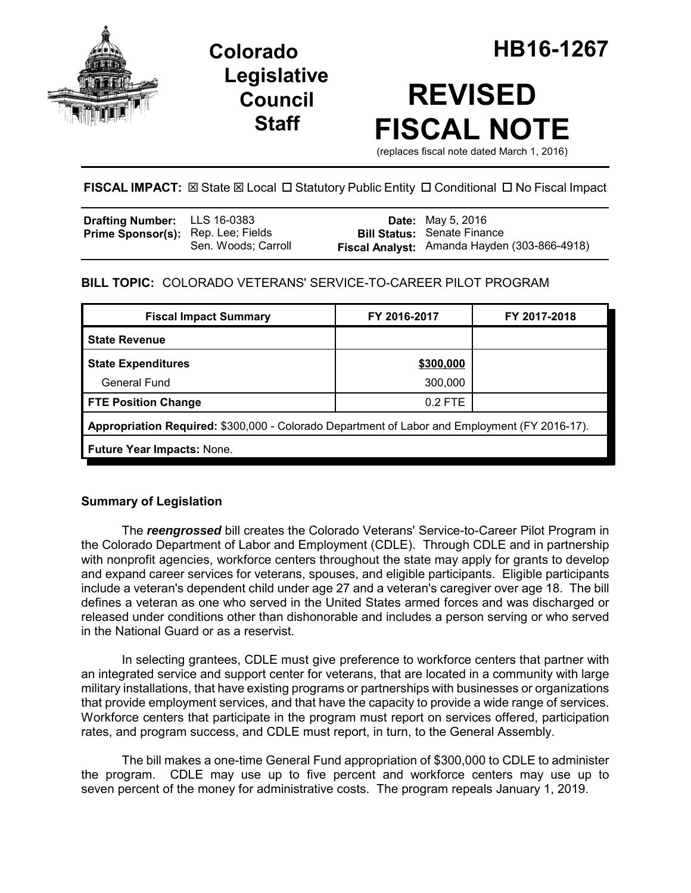

## **Legislative Council Staff**

# **REVISED FISCAL NOTE**

(replaces fiscal note dated March 1, 2016)

## **FISCAL IMPACT:** ⊠ State ⊠ Local □ Statutory Public Entity □ Conditional □ No Fiscal Impact

| <b>Drafting Number:</b> LLS 16-0383       |                     | <b>Date:</b> May 5, 2016                                                           |
|-------------------------------------------|---------------------|------------------------------------------------------------------------------------|
| <b>Prime Sponsor(s):</b> Rep. Lee; Fields | Sen. Woods; Carroll | <b>Bill Status: Senate Finance</b><br>Fiscal Analyst: Amanda Hayden (303-866-4918) |

## **BILL TOPIC:** COLORADO VETERANS' SERVICE-TO-CAREER PILOT PROGRAM

| <b>Fiscal Impact Summary</b>                                                                  | FY 2016-2017 | FY 2017-2018 |  |  |  |
|-----------------------------------------------------------------------------------------------|--------------|--------------|--|--|--|
| <b>State Revenue</b>                                                                          |              |              |  |  |  |
| <b>State Expenditures</b>                                                                     | \$300,000    |              |  |  |  |
| General Fund                                                                                  | 300,000      |              |  |  |  |
| <b>FTE Position Change</b>                                                                    | $0.2$ FTE    |              |  |  |  |
| Appropriation Required: \$300,000 - Colorado Department of Labor and Employment (FY 2016-17). |              |              |  |  |  |
| <b>Future Year Impacts: None.</b>                                                             |              |              |  |  |  |

### **Summary of Legislation**

The *reengrossed* bill creates the Colorado Veterans' Service-to-Career Pilot Program in the Colorado Department of Labor and Employment (CDLE). Through CDLE and in partnership with nonprofit agencies, workforce centers throughout the state may apply for grants to develop and expand career services for veterans, spouses, and eligible participants. Eligible participants include a veteran's dependent child under age 27 and a veteran's caregiver over age 18. The bill defines a veteran as one who served in the United States armed forces and was discharged or released under conditions other than dishonorable and includes a person serving or who served in the National Guard or as a reservist.

In selecting grantees, CDLE must give preference to workforce centers that partner with an integrated service and support center for veterans, that are located in a community with large military installations, that have existing programs or partnerships with businesses or organizations that provide employment services, and that have the capacity to provide a wide range of services. Workforce centers that participate in the program must report on services offered, participation rates, and program success, and CDLE must report, in turn, to the General Assembly.

The bill makes a one-time General Fund appropriation of \$300,000 to CDLE to administer the program. CDLE may use up to five percent and workforce centers may use up to seven percent of the money for administrative costs. The program repeals January 1, 2019.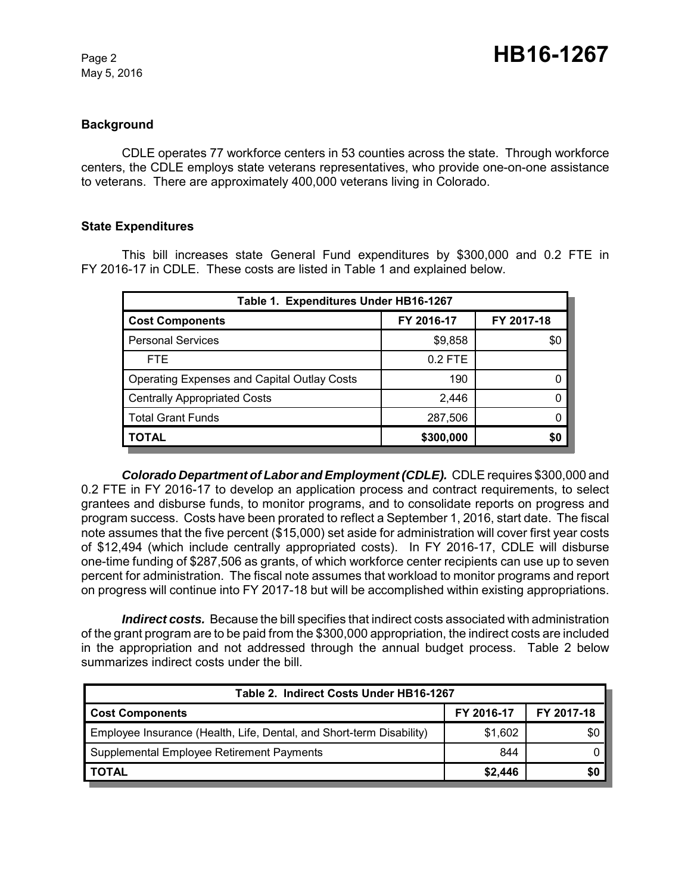May 5, 2016

#### **Background**

CDLE operates 77 workforce centers in 53 counties across the state. Through workforce centers, the CDLE employs state veterans representatives, who provide one-on-one assistance to veterans. There are approximately 400,000 veterans living in Colorado.

#### **State Expenditures**

This bill increases state General Fund expenditures by \$300,000 and 0.2 FTE in FY 2016-17 in CDLE. These costs are listed in Table 1 and explained below.

| Table 1. Expenditures Under HB16-1267              |            |            |  |  |  |
|----------------------------------------------------|------------|------------|--|--|--|
| <b>Cost Components</b>                             | FY 2016-17 | FY 2017-18 |  |  |  |
| <b>Personal Services</b>                           | \$9,858    | \$0        |  |  |  |
| FTE.                                               | $0.2$ FTE  |            |  |  |  |
| <b>Operating Expenses and Capital Outlay Costs</b> | 190        |            |  |  |  |
| <b>Centrally Appropriated Costs</b>                | 2,446      |            |  |  |  |
| <b>Total Grant Funds</b>                           | 287,506    |            |  |  |  |
| <b>TOTAL</b>                                       | \$300,000  | 50         |  |  |  |

*Colorado Department of Labor and Employment (CDLE).* CDLE requires \$300,000 and 0.2 FTE in FY 2016-17 to develop an application process and contract requirements, to select grantees and disburse funds, to monitor programs, and to consolidate reports on progress and program success. Costs have been prorated to reflect a September 1, 2016, start date. The fiscal note assumes that the five percent (\$15,000) set aside for administration will cover first year costs of \$12,494 (which include centrally appropriated costs). In FY 2016-17, CDLE will disburse one-time funding of \$287,506 as grants, of which workforce center recipients can use up to seven percent for administration. The fiscal note assumes that workload to monitor programs and report on progress will continue into FY 2017-18 but will be accomplished within existing appropriations.

*Indirect costs.* Because the bill specifies that indirect costs associated with administration of the grant program are to be paid from the \$300,000 appropriation, the indirect costs are included in the appropriation and not addressed through the annual budget process. Table 2 below summarizes indirect costs under the bill.

| Table 2. Indirect Costs Under HB16-1267                              |            |            |  |  |  |
|----------------------------------------------------------------------|------------|------------|--|--|--|
| <b>Cost Components</b>                                               | FY 2016-17 | FY 2017-18 |  |  |  |
| Employee Insurance (Health, Life, Dental, and Short-term Disability) | \$1,602    | \$0        |  |  |  |
| Supplemental Employee Retirement Payments                            | 844        |            |  |  |  |
| <b>TOTAL</b>                                                         | \$2,446    | \$0        |  |  |  |